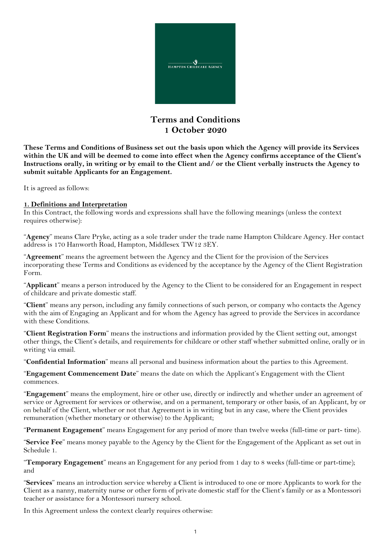

# **Terms and Conditions 1 October 2020**

**These Terms and Conditions of Business set out the basis upon which the Agency will provide its Services within the UK and will be deemed to come into effect when the Agency confirms acceptance of the Client's Instructions orally, in writing or by email to the Client and/ or the Client verbally instructs the Agency to submit suitable Applicants for an Engagement.**

It is agreed as follows:

#### **1. Definitions and Interpretation**

In this Contract, the following words and expressions shall have the following meanings (unless the context requires otherwise):

"**Agency**" means Clare Pryke, acting as a sole trader under the trade name Hampton Childcare Agency. Her contact address is 170 Hanworth Road, Hampton, Middlesex TW12 3EY.

"**Agreement**" means the agreement between the Agency and the Client for the provision of the Services incorporating these Terms and Conditions as evidenced by the acceptance by the Agency of the Client Registration Form.

"**Applicant**" means a person introduced by the Agency to the Client to be considered for an Engagement in respect of childcare and private domestic staff.

"**Client**" means any person, including any family connections of such person, or company who contacts the Agency with the aim of Engaging an Applicant and for whom the Agency has agreed to provide the Services in accordance with these Conditions.

"**Client Registration Form**" means the instructions and information provided by the Client setting out, amongst other things, the Client's details, and requirements for childcare or other staff whether submitted online, orally or in writing via email.

"**Confidential Information**" means all personal and business information about the parties to this Agreement.

"**Engagement Commencement Date**" means the date on which the Applicant's Engagement with the Client commences.

"**Engagement**" means the employment, hire or other use, directly or indirectly and whether under an agreement of service or Agreement for services or otherwise, and on a permanent, temporary or other basis, of an Applicant, by or on behalf of the Client, whether or not that Agreement is in writing but in any case, where the Client provides remuneration (whether monetary or otherwise) to the Applicant;

"**Permanent Engagement**" means Engagement for any period of more than twelve weeks (full-time or part- time).

"**Service Fee**" means money payable to the Agency by the Client for the Engagement of the Applicant as set out in Schedule 1.

"**Temporary Engagement**" means an Engagement for any period from 1 day to 8 weeks (full-time or part-time); and

"**Services**" means an introduction service whereby a Client is introduced to one or more Applicants to work for the Client as a nanny, maternity nurse or other form of private domestic staff for the Client's family or as a Montessori teacher or assistance for a Montessori nursery school.

In this Agreement unless the context clearly requires otherwise: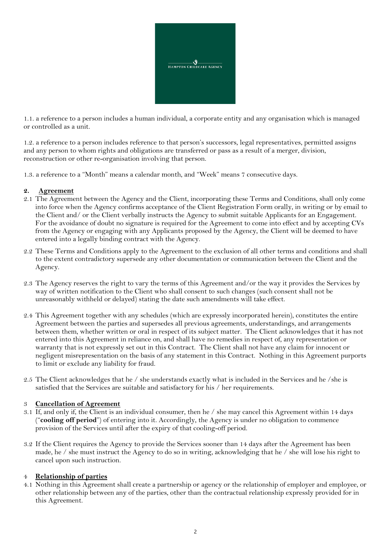

1.1. a reference to a person includes a human individual, a corporate entity and any organisation which is managed or controlled as a unit.

1.2. a reference to a person includes reference to that person's successors, legal representatives, permitted assigns and any person to whom rights and obligations are transferred or pass as a result of a merger, division, reconstruction or other re-organisation involving that person.

1.3. a reference to a "Month" means a calendar month, and "Week" means 7 consecutive days.

#### **2. Agreement**

- 2.1 The Agreement between the Agency and the Client, incorporating these Terms and Conditions, shall only come into force when the Agency confirms acceptance of the Client Registration Form orally, in writing or by email to the Client and/ or the Client verbally instructs the Agency to submit suitable Applicants for an Engagement. For the avoidance of doubt no signature is required for the Agreement to come into effect and by accepting CVs from the Agency or engaging with any Applicants proposed by the Agency, the Client will be deemed to have entered into a legally binding contract with the Agency.
- 2.2 These Terms and Conditions apply to the Agreement to the exclusion of all other terms and conditions and shall to the extent contradictory supersede any other documentation or communication between the Client and the Agency.
- 2.3 The Agency reserves the right to vary the terms of this Agreement and/or the way it provides the Services by way of written notification to the Client who shall consent to such changes (such consent shall not be unreasonably withheld or delayed) stating the date such amendments will take effect.
- 2.4 This Agreement together with any schedules (which are expressly incorporated herein), constitutes the entire Agreement between the parties and supersedes all previous agreements, understandings, and arrangements between them, whether written or oral in respect of its subject matter. The Client acknowledges that it has not entered into this Agreement in reliance on, and shall have no remedies in respect of, any representation or warranty that is not expressly set out in this Contract. The Client shall not have any claim for innocent or negligent misrepresentation on the basis of any statement in this Contract. Nothing in this Agreement purports to limit or exclude any liability for fraud.
- 2.5 The Client acknowledges that he / she understands exactly what is included in the Services and he /she is satisfied that the Services are suitable and satisfactory for his / her requirements.

#### 3 **Cancellation of Agreement**

- 3.1 If, and only if, the Client is an individual consumer, then he / she may cancel this Agreement within 14 days ("**cooling off period**") of entering into it. Accordingly, the Agency is under no obligation to commence provision of the Services until after the expiry of that cooling-off period.
- 3.2 If the Client requires the Agency to provide the Services sooner than 14 days after the Agreement has been made, he / she must instruct the Agency to do so in writing, acknowledging that he / she will lose his right to cancel upon such instruction.

#### 4 **Relationship of parties**

4.1 Nothing in this Agreement shall create a partnership or agency or the relationship of employer and employee, or other relationship between any of the parties, other than the contractual relationship expressly provided for in this Agreement.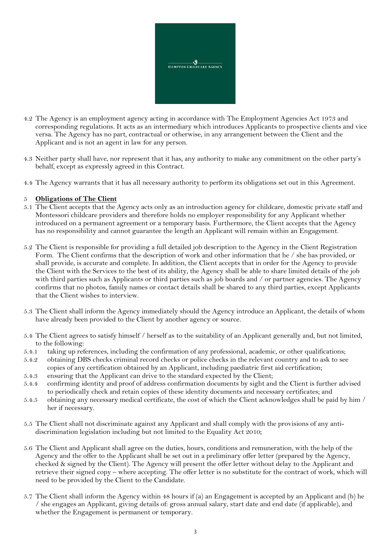

- 4.2 The Agency is an employment agency acting in accordance with The Employment Agencies Act 1973 and corresponding regulations. It acts as an intermediary which introduces Applicants to prospective clients and vice versa. The Agency has no part, contractual or otherwise, in any arrangement between the Client and the Applicant and is not an agent in law for any person.
- 4.3 Neither party shall have, nor represent that it has, any authority to make any commitment on the other party's behalf, except as expressly agreed in this Contract.
- 4.4 The Agency warrants that it has all necessary authority to perform its obligations set out in this Agreement.

### 5 **Obligations of The Client**

- 5.1 The Client accepts that the Agency acts only as an introduction agency for childcare, domestic private staff and Montessori childcare providers and therefore holds no employer responsibility for any Applicant whether introduced on a permanent agreement or a temporary basis. Furthermore, the Client accepts that the Agency has no responsibility and cannot guarantee the length an Applicant will remain within an Engagement.
- 5.2 The Client is responsible for providing a full detailed job description to the Agency in the Client Registration Form. The Client confirms that the description of work and other information that he / she has provided, or shall provide, is accurate and complete. In addition, the Client accepts that in order for the Agency to provide the Client with the Services to the best of its ability, the Agency shall be able to share limited details of the job with third parties such as Applicants or third parties such as job boards and / or partner agencies. The Agency confirms that no photos, family names or contact details shall be shared to any third parties, except Applicants that the Client wishes to interview.
- 5.3 The Client shall inform the Agency immediately should the Agency introduce an Applicant, the details of whom have already been provided to the Client by another agency or source.
- 5.4 The Client agrees to satisfy himself / herself as to the suitability of an Applicant generally and, but not limited, to the following:
- 5.4.1 taking up references, including the confirmation of any professional, academic, or other qualifications;
- 5.4.2 obtaining DBS checks criminal record checks or police checks in the relevant country and to ask to see copies of any certification obtained by an Applicant, including paediatric first aid certification;
- 5.4.3 ensuring that the Applicant can drive to the standard expected by the Client;
- 5.4.4 confirming identity and proof of address confirmation documents by sight and the Client is further advised to periodically check and retain copies of these identity documents and necessary certificates; and
- 5.4.5 obtaining any necessary medical certificate, the cost of which the Client acknowledges shall be paid by him / her if necessary.
- 5.5 The Client shall not discriminate against any Applicant and shall comply with the provisions of any antidiscrimination legislation including but not limited to the Equality Act 2010;
- 5.6 The Client and Applicant shall agree on the duties, hours, conditions and remuneration, with the help of the Agency and the offer to the Applicant shall be set out in a preliminary offer letter (prepared by the Agency, checked & signed by the Client). The Agency will present the offer letter without delay to the Applicant and retrieve their signed copy – where accepting. The offer letter is no substitute for the contract of work, which will need to be provided by the Client to the Candidate.
- 5.7 The Client shall inform the Agency within 48 hours if (a) an Engagement is accepted by an Applicant and (b) he / she engages an Applicant, giving details of: gross annual salary, start date and end date (if applicable), and whether the Engagement is permanent or temporary.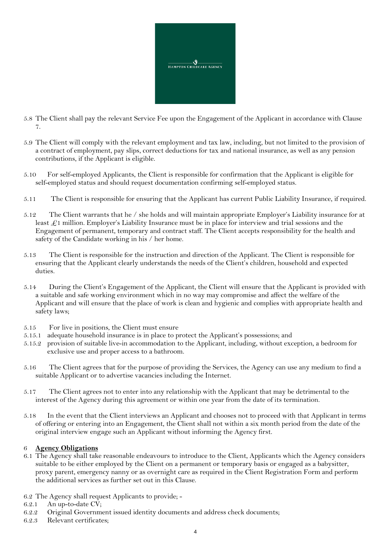

- 5.8 The Client shall pay the relevant Service Fee upon the Engagement of the Applicant in accordance with Clause 7.
- 5.9 The Client will comply with the relevant employment and tax law, including, but not limited to the provision of a contract of employment, pay slips, correct deductions for tax and national insurance, as well as any pension contributions, if the Applicant is eligible.
- 5.10 For self-employed Applicants, the Client is responsible for confirmation that the Applicant is eligible for self-employed status and should request documentation confirming self-employed status.
- 5.11 The Client is responsible for ensuring that the Applicant has current Public Liability Insurance, if required.
- 5.12 The Client warrants that he / she holds and will maintain appropriate Employer's Liability insurance for at least  $\mathcal{L}1$  million. Employer's Liability Insurance must be in place for interview and trial sessions and the Engagement of permanent, temporary and contract staff. The Client accepts responsibility for the health and safety of the Candidate working in his / her home.
- 5.13 The Client is responsible for the instruction and direction of the Applicant. The Client is responsible for ensuring that the Applicant clearly understands the needs of the Client's children, household and expected duties.
- 5.14 During the Client's Engagement of the Applicant, the Client will ensure that the Applicant is provided with a suitable and safe working environment which in no way may compromise and affect the welfare of the Applicant and will ensure that the place of work is clean and hygienic and complies with appropriate health and safety laws;
- 5.15 For live in positions, the Client must ensure
- 5.15.1 adequate household insurance is in place to protect the Applicant's possessions; and
- 5.15.2 provision of suitable live-in accommodation to the Applicant, including, without exception, a bedroom for exclusive use and proper access to a bathroom.
- 5.16 The Client agrees that for the purpose of providing the Services, the Agency can use any medium to find a suitable Applicant or to advertise vacancies including the Internet.
- 5.17 The Client agrees not to enter into any relationship with the Applicant that may be detrimental to the interest of the Agency during this agreement or within one year from the date of its termination.
- 5.18 In the event that the Client interviews an Applicant and chooses not to proceed with that Applicant in terms of offering or entering into an Engagement, the Client shall not within a six month period from the date of the original interview engage such an Applicant without informing the Agency first.

#### 6 **Agency Obligations**

- 6.1 The Agency shall take reasonable endeavours to introduce to the Client, Applicants which the Agency considers suitable to be either employed by the Client on a permanent or temporary basis or engaged as a babysitter, proxy parent, emergency nanny or as overnight care as required in the Client Registration Form and perform the additional services as further set out in this Clause.
- 6.2 The Agency shall request Applicants to provide; -
- 6.2.1 An up-to-date CV;
- 6.2.2 Original Government issued identity documents and address check documents;
- 6.2.3 Relevant certificates;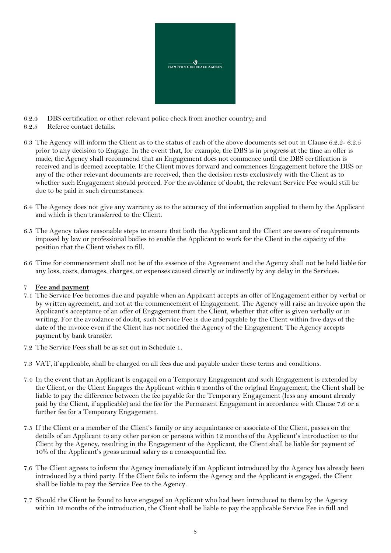

- 6.2.4 DBS certification or other relevant police check from another country; and
- 6.2.5 Referee contact details.
- 6.3 The Agency will inform the Client as to the status of each of the above documents set out in Clause 6.2.2- 6.2.5 prior to any decision to Engage. In the event that, for example, the DBS is in progress at the time an offer is made, the Agency shall recommend that an Engagement does not commence until the DBS certification is received and is deemed acceptable. If the Client moves forward and commences Engagement before the DBS or any of the other relevant documents are received, then the decision rests exclusively with the Client as to whether such Engagement should proceed. For the avoidance of doubt, the relevant Service Fee would still be due to be paid in such circumstances.
- 6.4 The Agency does not give any warranty as to the accuracy of the information supplied to them by the Applicant and which is then transferred to the Client.
- 6.5 The Agency takes reasonable steps to ensure that both the Applicant and the Client are aware of requirements imposed by law or professional bodies to enable the Applicant to work for the Client in the capacity of the position that the Client wishes to fill.
- 6.6 Time for commencement shall not be of the essence of the Agreement and the Agency shall not be held liable for any loss, costs, damages, charges, or expenses caused directly or indirectly by any delay in the Services.

# 7 **Fee and payment**

- 7.1 The Service Fee becomes due and payable when an Applicant accepts an offer of Engagement either by verbal or by written agreement, and not at the commencement of Engagement. The Agency will raise an invoice upon the Applicant's acceptance of an offer of Engagement from the Client, whether that offer is given verbally or in writing. For the avoidance of doubt, such Service Fee is due and payable by the Client within five days of the date of the invoice even if the Client has not notified the Agency of the Engagement. The Agency accepts payment by bank transfer.
- 7.2 The Service Fees shall be as set out in Schedule 1.
- 7.3 VAT, if applicable, shall be charged on all fees due and payable under these terms and conditions.
- 7.4 In the event that an Applicant is engaged on a Temporary Engagement and such Engagement is extended by the Client, or the Client Engages the Applicant within 6 months of the original Engagement, the Client shall be liable to pay the difference between the fee payable for the Temporary Engagement (less any amount already paid by the Client, if applicable) and the fee for the Permanent Engagement in accordance with Clause 7.6 or a further fee for a Temporary Engagement.
- 7.5 If the Client or a member of the Client's family or any acquaintance or associate of the Client, passes on the details of an Applicant to any other person or persons within 12 months of the Applicant's introduction to the Client by the Agency, resulting in the Engagement of the Applicant, the Client shall be liable for payment of 10% of the Applicant's gross annual salary as a consequential fee.
- 7.6 The Client agrees to inform the Agency immediately if an Applicant introduced by the Agency has already been introduced by a third party. If the Client fails to inform the Agency and the Applicant is engaged, the Client shall be liable to pay the Service Fee to the Agency.
- 7.7 Should the Client be found to have engaged an Applicant who had been introduced to them by the Agency within 12 months of the introduction, the Client shall be liable to pay the applicable Service Fee in full and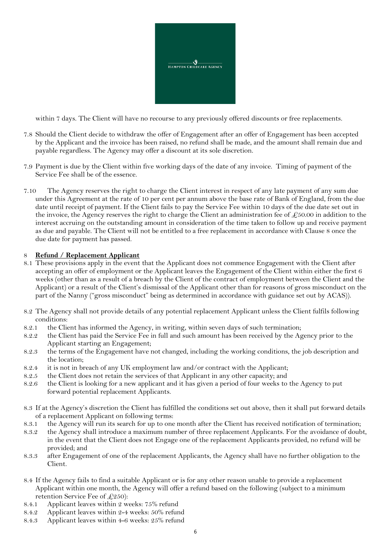

within 7 days. The Client will have no recourse to any previously offered discounts or free replacements.

- 7.8 Should the Client decide to withdraw the offer of Engagement after an offer of Engagement has been accepted by the Applicant and the invoice has been raised, no refund shall be made, and the amount shall remain due and payable regardless. The Agency may offer a discount at its sole discretion.
- 7.9 Payment is due by the Client within five working days of the date of any invoice. Timing of payment of the Service Fee shall be of the essence.
- 7.10 The Agency reserves the right to charge the Client interest in respect of any late payment of any sum due under this Agreement at the rate of 10 per cent per annum above the base rate of Bank of England, from the due date until receipt of payment. If the Client fails to pay the Service Fee within 10 days of the due date set out in the invoice, the Agency reserves the right to charge the Client an administration fee of  $\mathcal{L}_{50.00}$  in addition to the interest accruing on the outstanding amount in consideration of the time taken to follow up and receive payment as due and payable. The Client will not be entitled to a free replacement in accordance with Clause 8 once the due date for payment has passed.

#### 8 **Refund / Replacement Applicant**

- 8.1 These provisions apply in the event that the Applicant does not commence Engagement with the Client after accepting an offer of employment or the Applicant leaves the Engagement of the Client within either the first 6 weeks (other than as a result of a breach by the Client of the contract of employment between the Client and the Applicant) or a result of the Client's dismissal of the Applicant other than for reasons of gross misconduct on the part of the Nanny ("gross misconduct" being as determined in accordance with guidance set out by ACAS)).
- 8.2 The Agency shall not provide details of any potential replacement Applicant unless the Client fulfils following conditions:
- 8.2.1 the Client has informed the Agency, in writing, within seven days of such termination;
- 8.2.2 the Client has paid the Service Fee in full and such amount has been received by the Agency prior to the Applicant starting an Engagement;
- 8.2.3 the terms of the Engagement have not changed, including the working conditions, the job description and the location;
- 8.2.4 it is not in breach of any UK employment law and/or contract with the Applicant;
- 8.2.5 the Client does not retain the services of that Applicant in any other capacity; and
- 8.2.6 the Client is looking for a new applicant and it has given a period of four weeks to the Agency to put forward potential replacement Applicants.
- 8.3 If at the Agency's discretion the Client has fulfilled the conditions set out above, then it shall put forward details of a replacement Applicant on following terms:
- 8.3.1 the Agency will run its search for up to one month after the Client has received notification of termination;
- 8.3.2 the Agency shall introduce a maximum number of three replacement Applicants. For the avoidance of doubt, in the event that the Client does not Engage one of the replacement Applicants provided, no refund will be provided; and
- 8.3.3 after Engagement of one of the replacement Applicants, the Agency shall have no further obligation to the Client.
- 8.4 If the Agency fails to find a suitable Applicant or is for any other reason unable to provide a replacement Applicant within one month, the Agency will offer a refund based on the following (subject to a minimum retention Service Fee of  $\text{\textsterling}250$ :
- 8.4.1 Applicant leaves within 2 weeks: 75% refund
- 8.4.2 Applicant leaves within 2-4 weeks: 50% refund
- 8.4.3 Applicant leaves within 4-6 weeks: 25% refund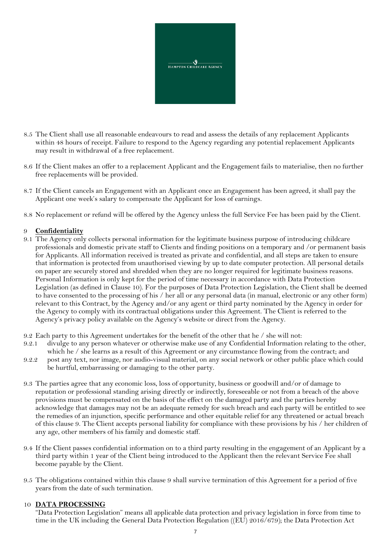

- 8.5 The Client shall use all reasonable endeavours to read and assess the details of any replacement Applicants within 48 hours of receipt. Failure to respond to the Agency regarding any potential replacement Applicants may result in withdrawal of a free replacement.
- 8.6 If the Client makes an offer to a replacement Applicant and the Engagement fails to materialise, then no further free replacements will be provided.
- 8.7 If the Client cancels an Engagement with an Applicant once an Engagement has been agreed, it shall pay the Applicant one week's salary to compensate the Applicant for loss of earnings.
- 8.8 No replacement or refund will be offered by the Agency unless the full Service Fee has been paid by the Client.

#### 9 **Confidentiality**

- 9.1 The Agency only collects personal information for the legitimate business purpose of introducing childcare professionals and domestic private staff to Clients and finding positions on a temporary and /or permanent basis for Applicants. All information received is treated as private and confidential, and all steps are taken to ensure that information is protected from unauthorised viewing by up to date computer protection. All personal details on paper are securely stored and shredded when they are no longer required for legitimate business reasons. Personal Information is only kept for the period of time necessary in accordance with Data Protection Legislation (as defined in Clause 10). For the purposes of Data Protection Legislation, the Client shall be deemed to have consented to the processing of his / her all or any personal data (in manual, electronic or any other form) relevant to this Contract, by the Agency and/or any agent or third party nominated by the Agency in order for the Agency to comply with its contractual obligations under this Agreement. The Client is referred to the Agency's privacy policy available on the Agency's website or direct from the Agency.
- 9.2 Each party to this Agreement undertakes for the benefit of the other that he / she will not:
- 9.2.1 divulge to any person whatever or otherwise make use of any Confidential Information relating to the other, which he / she learns as a result of this Agreement or any circumstance flowing from the contract; and
- 9.2.2 post any text, nor image, nor audio-visual material, on any social network or other public place which could be hurtful, embarrassing or damaging to the other party.
- 9.3 The parties agree that any economic loss, loss of opportunity, business or goodwill and/or of damage to reputation or professional standing arising directly or indirectly, foreseeable or not from a breach of the above provisions must be compensated on the basis of the effect on the damaged party and the parties hereby acknowledge that damages may not be an adequate remedy for such breach and each party will be entitled to see the remedies of an injunction, specific performance and other equitable relief for any threatened or actual breach of this clause 9. The Client accepts personal liability for compliance with these provisions by his / her children of any age, other members of his family and domestic staff.
- 9.4 If the Client passes confidential information on to a third party resulting in the engagement of an Applicant by a third party within 1 year of the Client being introduced to the Applicant then the relevant Service Fee shall become payable by the Client.
- 9.5 The obligations contained within this clause 9 shall survive termination of this Agreement for a period of five years from the date of such termination.

#### 10 **DATA PROCESSING**

"Data Protection Legislation" means all applicable data protection and privacy legislation in force from time to time in the UK including the General Data Protection Regulation ((EU) 2016/679); the Data Protection Act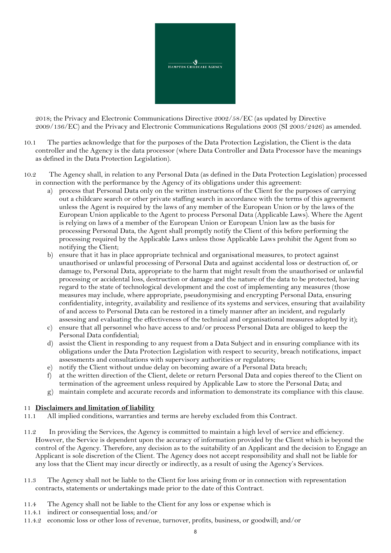

2018; the Privacy and Electronic Communications Directive 2002/58/EC (as updated by Directive 2009/136/EC) and the Privacy and Electronic Communications Regulations 2003 (SI 2003/2426) as amended.

- 10.1 The parties acknowledge that for the purposes of the Data Protection Legislation, the Client is the data controller and the Agency is the data processor (where Data Controller and Data Processor have the meanings as defined in the Data Protection Legislation).
- 10.2 The Agency shall, in relation to any Personal Data (as defined in the Data Protection Legislation) processed in connection with the performance by the Agency of its obligations under this agreement:
	- a) process that Personal Data only on the written instructions of the Client for the purposes of carrying out a childcare search or other private staffing search in accordance with the terms of this agreement unless the Agent is required by the laws of any member of the European Union or by the laws of the European Union applicable to the Agent to process Personal Data (Applicable Laws). Where the Agent is relying on laws of a member of the European Union or European Union law as the basis for processing Personal Data, the Agent shall promptly notify the Client of this before performing the processing required by the Applicable Laws unless those Applicable Laws prohibit the Agent from so notifying the Client;
	- b) ensure that it has in place appropriate technical and organisational measures, to protect against unauthorised or unlawful processing of Personal Data and against accidental loss or destruction of, or damage to, Personal Data, appropriate to the harm that might result from the unauthorised or unlawful processing or accidental loss, destruction or damage and the nature of the data to be protected, having regard to the state of technological development and the cost of implementing any measures (those measures may include, where appropriate, pseudonymising and encrypting Personal Data, ensuring confidentiality, integrity, availability and resilience of its systems and services, ensuring that availability of and access to Personal Data can be restored in a timely manner after an incident, and regularly assessing and evaluating the effectiveness of the technical and organisational measures adopted by it);
	- c) ensure that all personnel who have access to and/or process Personal Data are obliged to keep the Personal Data confidential;
	- d) assist the Client in responding to any request from a Data Subject and in ensuring compliance with its obligations under the Data Protection Legislation with respect to security, breach notifications, impact assessments and consultations with supervisory authorities or regulators;
	- e) notify the Client without undue delay on becoming aware of a Personal Data breach;
	- f) at the written direction of the Client, delete or return Personal Data and copies thereof to the Client on termination of the agreement unless required by Applicable Law to store the Personal Data; and
	- g) maintain complete and accurate records and information to demonstrate its compliance with this clause.

#### 11 **Disclaimers and limitation of liability**

- 11.1 All implied conditions, warranties and terms are hereby excluded from this Contract.
- 11.2 In providing the Services, the Agency is committed to maintain a high level of service and efficiency. However, the Service is dependent upon the accuracy of information provided by the Client which is beyond the control of the Agency. Therefore, any decision as to the suitability of an Applicant and the decision to Engage an Applicant is sole discretion of the Client. The Agency does not accept responsibility and shall not be liable for any loss that the Client may incur directly or indirectly, as a result of using the Agency's Services.
- 11.3 The Agency shall not be liable to the Client for loss arising from or in connection with representation contracts, statements or undertakings made prior to the date of this Contract.
- 11.4 The Agency shall not be liable to the Client for any loss or expense which is
- 11.4.1 indirect or consequential loss; and/or
- 11.4.2 economic loss or other loss of revenue, turnover, profits, business, or goodwill; and/or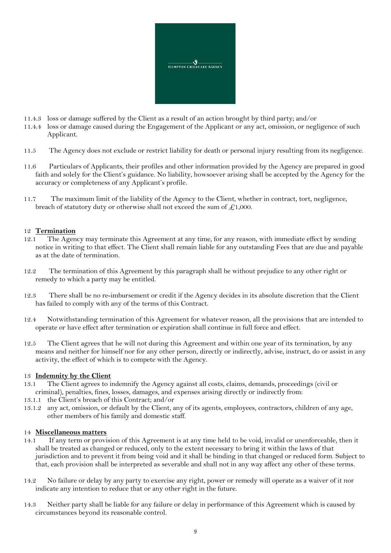

- 11.4.3 loss or damage suffered by the Client as a result of an action brought by third party; and/or
- 11.4.4 loss or damage caused during the Engagement of the Applicant or any act, omission, or negligence of such Applicant.
- 11.5 The Agency does not exclude or restrict liability for death or personal injury resulting from its negligence.
- 11.6 Particulars of Applicants, their profiles and other information provided by the Agency are prepared in good faith and solely for the Client's guidance. No liability, howsoever arising shall be accepted by the Agency for the accuracy or completeness of any Applicant's profile.
- 11.7 The maximum limit of the liability of the Agency to the Client, whether in contract, tort, negligence, breach of statutory duty or otherwise shall not exceed the sum of  $\pounds$ 1,000.

#### 12 **Termination**

- 12.1 The Agency may terminate this Agreement at any time, for any reason, with immediate effect by sending notice in writing to that effect. The Client shall remain liable for any outstanding Fees that are due and payable as at the date of termination.
- 12.2 The termination of this Agreement by this paragraph shall be without prejudice to any other right or remedy to which a party may be entitled.
- 12.3 There shall be no re-imbursement or credit if the Agency decides in its absolute discretion that the Client has failed to comply with any of the terms of this Contract.
- 12.4 Notwithstanding termination of this Agreement for whatever reason, all the provisions that are intended to operate or have effect after termination or expiration shall continue in full force and effect.
- 12.5 The Client agrees that he will not during this Agreement and within one year of its termination, by any means and neither for himself nor for any other person, directly or indirectly, advise, instruct, do or assist in any activity, the effect of which is to compete with the Agency.

#### 13 **Indemnity by the Client**

- 13.1 The Client agrees to indemnify the Agency against all costs, claims, demands, proceedings (civil or criminal), penalties, fines, losses, damages, and expenses arising directly or indirectly from:
- 13.1.1 the Client's breach of this Contract; and/or
- 13.1.2 any act, omission, or default by the Client, any of its agents, employees, contractors, children of any age, other members of his family and domestic staff.

#### 14 **Miscellaneous matters**

- 14.1 If any term or provision of this Agreement is at any time held to be void, invalid or unenforceable, then it shall be treated as changed or reduced, only to the extent necessary to bring it within the laws of that jurisdiction and to prevent it from being void and it shall be binding in that changed or reduced form. Subject to that, each provision shall be interpreted as severable and shall not in any way affect any other of these terms.
- 14.2 No failure or delay by any party to exercise any right, power or remedy will operate as a waiver of it nor indicate any intention to reduce that or any other right in the future.
- 14.3 Neither party shall be liable for any failure or delay in performance of this Agreement which is caused by circumstances beyond its reasonable control.